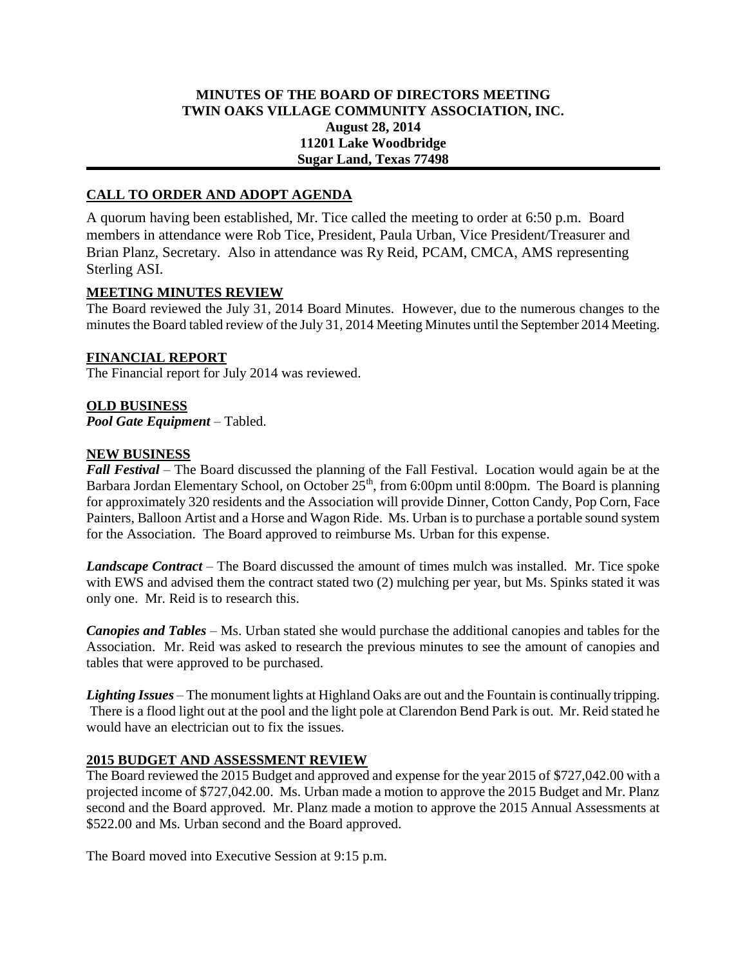### **MINUTES OF THE BOARD OF DIRECTORS MEETING TWIN OAKS VILLAGE COMMUNITY ASSOCIATION, INC. August 28, 2014 11201 Lake Woodbridge Sugar Land, Texas 77498**

# **CALL TO ORDER AND ADOPT AGENDA**

A quorum having been established, Mr. Tice called the meeting to order at 6:50 p.m. Board members in attendance were Rob Tice, President, Paula Urban, Vice President/Treasurer and Brian Planz, Secretary. Also in attendance was Ry Reid, PCAM, CMCA, AMS representing Sterling ASI.

#### **MEETING MINUTES REVIEW**

The Board reviewed the July 31, 2014 Board Minutes. However, due to the numerous changes to the minutes the Board tabled review of the July 31, 2014 Meeting Minutes until the September 2014 Meeting.

### **FINANCIAL REPORT**

The Financial report for July 2014 was reviewed.

### **OLD BUSINESS**

*Pool Gate Equipment* – Tabled.

### **NEW BUSINESS**

*Fall Festival* – The Board discussed the planning of the Fall Festival. Location would again be at the Barbara Jordan Elementary School, on October  $25<sup>th</sup>$ , from 6:00pm until 8:00pm. The Board is planning for approximately 320 residents and the Association will provide Dinner, Cotton Candy, Pop Corn, Face Painters, Balloon Artist and a Horse and Wagon Ride. Ms. Urban is to purchase a portable sound system for the Association. The Board approved to reimburse Ms. Urban for this expense.

*Landscape Contract* – The Board discussed the amount of times mulch was installed. Mr. Tice spoke with EWS and advised them the contract stated two (2) mulching per year, but Ms. Spinks stated it was only one. Mr. Reid is to research this.

*Canopies and Tables* – Ms. Urban stated she would purchase the additional canopies and tables for the Association. Mr. Reid was asked to research the previous minutes to see the amount of canopies and tables that were approved to be purchased.

*Lighting Issues* – The monument lights at Highland Oaks are out and the Fountain is continually tripping. There is a flood light out at the pool and the light pole at Clarendon Bend Park is out. Mr. Reid stated he would have an electrician out to fix the issues.

### **2015 BUDGET AND ASSESSMENT REVIEW**

The Board reviewed the 2015 Budget and approved and expense for the year 2015 of \$727,042.00 with a projected income of \$727,042.00. Ms. Urban made a motion to approve the 2015 Budget and Mr. Planz second and the Board approved. Mr. Planz made a motion to approve the 2015 Annual Assessments at \$522.00 and Ms. Urban second and the Board approved.

The Board moved into Executive Session at 9:15 p.m.